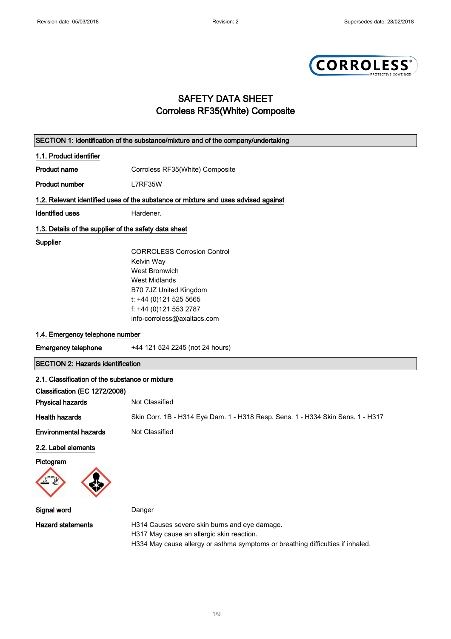

## SAFETY DATA SHEET Corroless RF35(White) Composite

| SECTION 1: Identification of the substance/mixture and of the company/undertaking |                                                                                                                                                                               |
|-----------------------------------------------------------------------------------|-------------------------------------------------------------------------------------------------------------------------------------------------------------------------------|
| 1.1. Product identifier                                                           |                                                                                                                                                                               |
| Product name                                                                      | Corroless RF35(White) Composite                                                                                                                                               |
| <b>Product number</b>                                                             | L7RF35W                                                                                                                                                                       |
|                                                                                   | 1.2. Relevant identified uses of the substance or mixture and uses advised against                                                                                            |
| <b>Identified uses</b>                                                            | Hardener.                                                                                                                                                                     |
| 1.3. Details of the supplier of the safety data sheet                             |                                                                                                                                                                               |
| Supplier                                                                          |                                                                                                                                                                               |
|                                                                                   | <b>CORROLESS Corrosion Control</b>                                                                                                                                            |
|                                                                                   | Kelvin Way                                                                                                                                                                    |
|                                                                                   | West Bromwich                                                                                                                                                                 |
|                                                                                   | <b>West Midlands</b>                                                                                                                                                          |
|                                                                                   | B70 7JZ United Kingdom                                                                                                                                                        |
|                                                                                   | t: +44 (0)121 525 5665                                                                                                                                                        |
|                                                                                   | f: +44 (0)121 553 2787                                                                                                                                                        |
|                                                                                   | info-corroless@axaltacs.com                                                                                                                                                   |
| 1.4. Emergency telephone number                                                   |                                                                                                                                                                               |
| <b>Emergency telephone</b>                                                        | +44 121 524 2245 (not 24 hours)                                                                                                                                               |
| <b>SECTION 2: Hazards identification</b>                                          |                                                                                                                                                                               |
| 2.1. Classification of the substance or mixture                                   |                                                                                                                                                                               |
| Classification (EC 1272/2008)                                                     |                                                                                                                                                                               |
| <b>Physical hazards</b>                                                           | Not Classified                                                                                                                                                                |
| <b>Health hazards</b>                                                             | Skin Corr. 1B - H314 Eye Dam. 1 - H318 Resp. Sens. 1 - H334 Skin Sens. 1 - H317                                                                                               |
| <b>Environmental hazards</b>                                                      | Not Classified                                                                                                                                                                |
| 2.2. Label elements                                                               |                                                                                                                                                                               |
| Pictogram                                                                         |                                                                                                                                                                               |
|                                                                                   |                                                                                                                                                                               |
| Signal word                                                                       | Danger                                                                                                                                                                        |
| <b>Hazard statements</b>                                                          | H314 Causes severe skin burns and eye damage.<br>H317 May cause an allergic skin reaction.<br>H334 May cause allergy or asthma symptoms or breathing difficulties if inhaled. |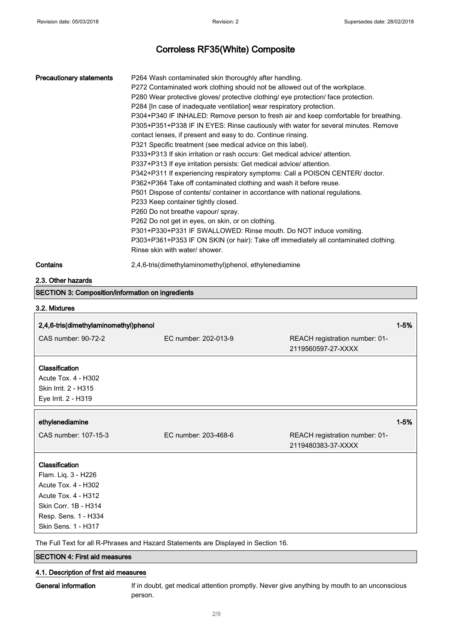| <b>Precautionary statements</b>                                                                                                                                   | P264 Wash contaminated skin thoroughly after handling.<br>P272 Contaminated work clothing should not be allowed out of the workplace.<br>P280 Wear protective gloves/ protective clothing/ eye protection/ face protection.<br>P284 [In case of inadequate ventilation] wear respiratory protection.<br>P304+P340 IF INHALED: Remove person to fresh air and keep comfortable for breathing.<br>P305+P351+P338 IF IN EYES: Rinse cautiously with water for several minutes. Remove<br>contact lenses, if present and easy to do. Continue rinsing.<br>P321 Specific treatment (see medical advice on this label).<br>P333+P313 If skin irritation or rash occurs: Get medical advice/attention.<br>P337+P313 If eye irritation persists: Get medical advice/ attention.<br>P342+P311 If experiencing respiratory symptoms: Call a POISON CENTER/ doctor.<br>P362+P364 Take off contaminated clothing and wash it before reuse.<br>P501 Dispose of contents/ container in accordance with national regulations.<br>P233 Keep container tightly closed.<br>P260 Do not breathe vapour/ spray.<br>P262 Do not get in eyes, on skin, or on clothing.<br>P301+P330+P331 IF SWALLOWED: Rinse mouth. Do NOT induce vomiting.<br>P303+P361+P353 IF ON SKIN (or hair): Take off immediately all contaminated clothing.<br>Rinse skin with water/ shower. |                                                      |          |
|-------------------------------------------------------------------------------------------------------------------------------------------------------------------|-------------------------------------------------------------------------------------------------------------------------------------------------------------------------------------------------------------------------------------------------------------------------------------------------------------------------------------------------------------------------------------------------------------------------------------------------------------------------------------------------------------------------------------------------------------------------------------------------------------------------------------------------------------------------------------------------------------------------------------------------------------------------------------------------------------------------------------------------------------------------------------------------------------------------------------------------------------------------------------------------------------------------------------------------------------------------------------------------------------------------------------------------------------------------------------------------------------------------------------------------------------------------------------------------------------------------------------------------|------------------------------------------------------|----------|
| Contains                                                                                                                                                          | 2,4,6-tris(dimethylaminomethyl)phenol, ethylenediamine                                                                                                                                                                                                                                                                                                                                                                                                                                                                                                                                                                                                                                                                                                                                                                                                                                                                                                                                                                                                                                                                                                                                                                                                                                                                                          |                                                      |          |
| 2.3. Other hazards                                                                                                                                                |                                                                                                                                                                                                                                                                                                                                                                                                                                                                                                                                                                                                                                                                                                                                                                                                                                                                                                                                                                                                                                                                                                                                                                                                                                                                                                                                                 |                                                      |          |
| <b>SECTION 3: Composition/information on ingredients</b>                                                                                                          |                                                                                                                                                                                                                                                                                                                                                                                                                                                                                                                                                                                                                                                                                                                                                                                                                                                                                                                                                                                                                                                                                                                                                                                                                                                                                                                                                 |                                                      |          |
| 3.2. Mixtures                                                                                                                                                     |                                                                                                                                                                                                                                                                                                                                                                                                                                                                                                                                                                                                                                                                                                                                                                                                                                                                                                                                                                                                                                                                                                                                                                                                                                                                                                                                                 |                                                      |          |
| 2,4,6-tris(dimethylaminomethyl)phenol                                                                                                                             |                                                                                                                                                                                                                                                                                                                                                                                                                                                                                                                                                                                                                                                                                                                                                                                                                                                                                                                                                                                                                                                                                                                                                                                                                                                                                                                                                 |                                                      | $1 - 5%$ |
| CAS number: 90-72-2                                                                                                                                               | EC number: 202-013-9                                                                                                                                                                                                                                                                                                                                                                                                                                                                                                                                                                                                                                                                                                                                                                                                                                                                                                                                                                                                                                                                                                                                                                                                                                                                                                                            | REACH registration number: 01-<br>2119560597-27-XXXX |          |
| Classification<br>Acute Tox. 4 - H302<br>Skin Irrit. 2 - H315<br>Eye Irrit. 2 - H319                                                                              |                                                                                                                                                                                                                                                                                                                                                                                                                                                                                                                                                                                                                                                                                                                                                                                                                                                                                                                                                                                                                                                                                                                                                                                                                                                                                                                                                 |                                                      |          |
| ethylenediamine                                                                                                                                                   |                                                                                                                                                                                                                                                                                                                                                                                                                                                                                                                                                                                                                                                                                                                                                                                                                                                                                                                                                                                                                                                                                                                                                                                                                                                                                                                                                 |                                                      | $1 - 5%$ |
| CAS number: 107-15-3                                                                                                                                              | EC number: 203-468-6                                                                                                                                                                                                                                                                                                                                                                                                                                                                                                                                                                                                                                                                                                                                                                                                                                                                                                                                                                                                                                                                                                                                                                                                                                                                                                                            | REACH registration number: 01-<br>2119480383-37-XXXX |          |
| Classification<br>Flam. Liq. 3 - H226<br>Acute Tox. 4 - H302<br><b>Acute Tox. 4 - H312</b><br>Skin Corr. 1B - H314<br>Resp. Sens. 1 - H334<br>Skin Sens. 1 - H317 | The Full Text for all R-Phrases and Hazard Statements are Displayed in Section 16.                                                                                                                                                                                                                                                                                                                                                                                                                                                                                                                                                                                                                                                                                                                                                                                                                                                                                                                                                                                                                                                                                                                                                                                                                                                              |                                                      |          |

SECTION 4: First aid measures

### 4.1. Description of first aid measures

General information If in doubt, get medical attention promptly. Never give anything by mouth to an unconscious person.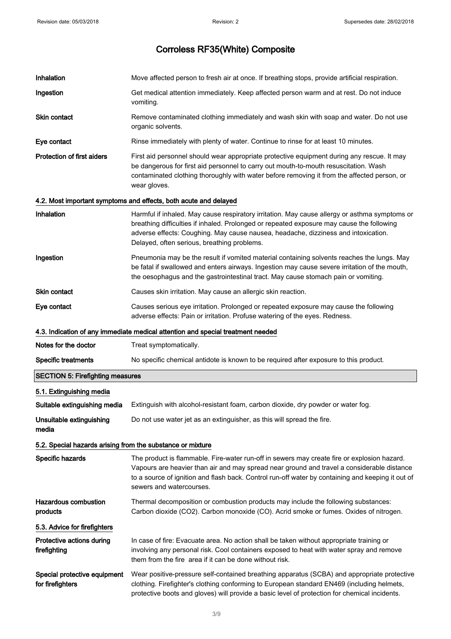| Inhalation                                                 | Move affected person to fresh air at once. If breathing stops, provide artificial respiration.                                                                                                                                                                                                                                  |
|------------------------------------------------------------|---------------------------------------------------------------------------------------------------------------------------------------------------------------------------------------------------------------------------------------------------------------------------------------------------------------------------------|
| Ingestion                                                  | Get medical attention immediately. Keep affected person warm and at rest. Do not induce<br>vomiting.                                                                                                                                                                                                                            |
| Skin contact                                               | Remove contaminated clothing immediately and wash skin with soap and water. Do not use<br>organic solvents.                                                                                                                                                                                                                     |
| Eye contact                                                | Rinse immediately with plenty of water. Continue to rinse for at least 10 minutes.                                                                                                                                                                                                                                              |
| <b>Protection of first aiders</b>                          | First aid personnel should wear appropriate protective equipment during any rescue. It may<br>be dangerous for first aid personnel to carry out mouth-to-mouth resuscitation. Wash<br>contaminated clothing thoroughly with water before removing it from the affected person, or<br>wear gloves.                               |
|                                                            | 4.2. Most important symptoms and effects, both acute and delayed                                                                                                                                                                                                                                                                |
| <b>Inhalation</b>                                          | Harmful if inhaled. May cause respiratory irritation. May cause allergy or asthma symptoms or<br>breathing difficulties if inhaled. Prolonged or repeated exposure may cause the following<br>adverse effects: Coughing. May cause nausea, headache, dizziness and intoxication.<br>Delayed, often serious, breathing problems. |
| Ingestion                                                  | Pneumonia may be the result if vomited material containing solvents reaches the lungs. May<br>be fatal if swallowed and enters airways. Ingestion may cause severe irritation of the mouth,<br>the oesophagus and the gastrointestinal tract. May cause stomach pain or vomiting.                                               |
| Skin contact                                               | Causes skin irritation. May cause an allergic skin reaction.                                                                                                                                                                                                                                                                    |
| Eye contact                                                | Causes serious eye irritation. Prolonged or repeated exposure may cause the following<br>adverse effects: Pain or irritation. Profuse watering of the eyes. Redness.                                                                                                                                                            |
|                                                            | 4.3. Indication of any immediate medical attention and special treatment needed                                                                                                                                                                                                                                                 |
| Notes for the doctor                                       | Treat symptomatically.                                                                                                                                                                                                                                                                                                          |
| <b>Specific treatments</b>                                 | No specific chemical antidote is known to be required after exposure to this product.                                                                                                                                                                                                                                           |
| <b>SECTION 5: Firefighting measures</b>                    |                                                                                                                                                                                                                                                                                                                                 |
| 5.1. Extinguishing media                                   |                                                                                                                                                                                                                                                                                                                                 |
| Suitable extinguishing media                               | Extinguish with alcohol-resistant foam, carbon dioxide, dry powder or water fog.                                                                                                                                                                                                                                                |
| Unsuitable extinguishing<br>media                          | Do not use water jet as an extinguisher, as this will spread the fire.                                                                                                                                                                                                                                                          |
| 5.2. Special hazards arising from the substance or mixture |                                                                                                                                                                                                                                                                                                                                 |
| Specific hazards                                           | The product is flammable. Fire-water run-off in sewers may create fire or explosion hazard.<br>Vapours are heavier than air and may spread near ground and travel a considerable distance<br>to a source of ignition and flash back. Control run-off water by containing and keeping it out of<br>sewers and watercourses.      |
| <b>Hazardous combustion</b><br>products                    | Thermal decomposition or combustion products may include the following substances:<br>Carbon dioxide (CO2). Carbon monoxide (CO). Acrid smoke or fumes. Oxides of nitrogen.                                                                                                                                                     |
| 5.3. Advice for firefighters                               |                                                                                                                                                                                                                                                                                                                                 |
| Protective actions during<br>firefighting                  | In case of fire: Evacuate area. No action shall be taken without appropriate training or<br>involving any personal risk. Cool containers exposed to heat with water spray and remove<br>them from the fire area if it can be done without risk.                                                                                 |
| Special protective equipment<br>for firefighters           | Wear positive-pressure self-contained breathing apparatus (SCBA) and appropriate protective<br>clothing. Firefighter's clothing conforming to European standard EN469 (including helmets,<br>protective boots and gloves) will provide a basic level of protection for chemical incidents.                                      |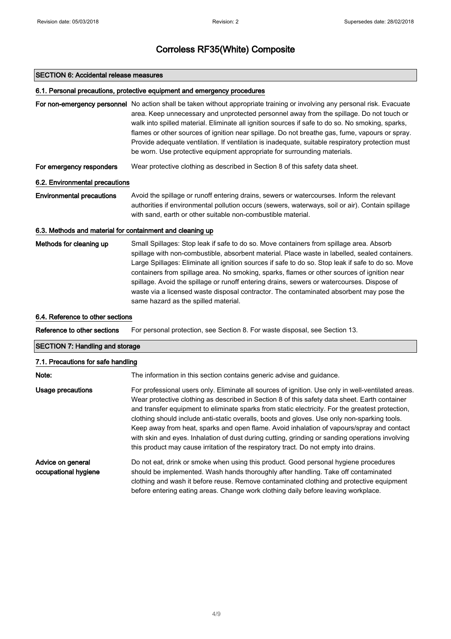### SECTION 6: Accidental release measures

### 6.1. Personal precautions, protective equipment and emergency procedures

For non-emergency personnel No action shall be taken without appropriate training or involving any personal risk. Evacuate area. Keep unnecessary and unprotected personnel away from the spillage. Do not touch or walk into spilled material. Eliminate all ignition sources if safe to do so. No smoking, sparks, flames or other sources of ignition near spillage. Do not breathe gas, fume, vapours or spray. Provide adequate ventilation. If ventilation is inadequate, suitable respiratory protection must be worn. Use protective equipment appropriate for surrounding materials.

For emergency responders Wear protective clothing as described in Section 8 of this safety data sheet.

### 6.2. Environmental precautions

Environmental precautions Avoid the spillage or runoff entering drains, sewers or watercourses. Inform the relevant authorities if environmental pollution occurs (sewers, waterways, soil or air). Contain spillage with sand, earth or other suitable non-combustible material.

### 6.3. Methods and material for containment and cleaning up

Methods for cleaning up Small Spillages: Stop leak if safe to do so. Move containers from spillage area. Absorb spillage with non-combustible, absorbent material. Place waste in labelled, sealed containers. Large Spillages: Eliminate all ignition sources if safe to do so. Stop leak if safe to do so. Move containers from spillage area. No smoking, sparks, flames or other sources of ignition near spillage. Avoid the spillage or runoff entering drains, sewers or watercourses. Dispose of waste via a licensed waste disposal contractor. The contaminated absorbent may pose the same hazard as the spilled material.

### 6.4. Reference to other sections

Reference to other sections For personal protection, see Section 8. For waste disposal, see Section 13.

### SECTION 7: Handling and storage

### 7.1. Precautions for safe handling

| Note:                                     | The information in this section contains generic advise and guidance.                                                                                                                                                                                                                                                                                                                                                                                                                                                                                                                                                                                                                            |
|-------------------------------------------|--------------------------------------------------------------------------------------------------------------------------------------------------------------------------------------------------------------------------------------------------------------------------------------------------------------------------------------------------------------------------------------------------------------------------------------------------------------------------------------------------------------------------------------------------------------------------------------------------------------------------------------------------------------------------------------------------|
| Usage precautions                         | For professional users only. Eliminate all sources of ignition. Use only in well-ventilated areas.<br>Wear protective clothing as described in Section 8 of this safety data sheet. Earth container<br>and transfer equipment to eliminate sparks from static electricity. For the greatest protection,<br>clothing should include anti-static overalls, boots and gloves. Use only non-sparking tools.<br>Keep away from heat, sparks and open flame. Avoid inhalation of vapours/spray and contact<br>with skin and eyes. Inhalation of dust during cutting, grinding or sanding operations involving<br>this product may cause irritation of the respiratory tract. Do not empty into drains. |
| Advice on general<br>occupational hygiene | Do not eat, drink or smoke when using this product. Good personal hygiene procedures<br>should be implemented. Wash hands thoroughly after handling. Take off contaminated<br>clothing and wash it before reuse. Remove contaminated clothing and protective equipment<br>before entering eating areas. Change work clothing daily before leaving workplace.                                                                                                                                                                                                                                                                                                                                     |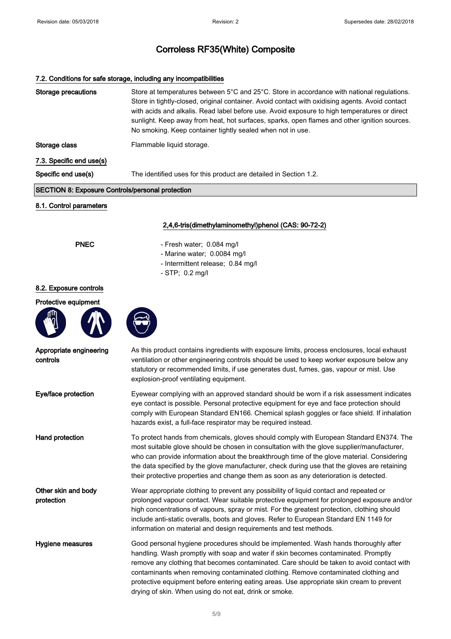### 7.2. Conditions for safe storage, including any incompatibilities

| <b>Storage precautions</b>                              | Store at temperatures between 5°C and 25°C. Store in accordance with national regulations.<br>Store in tightly-closed, original container. Avoid contact with oxidising agents. Avoid contact<br>with acids and alkalis. Read label before use. Avoid exposure to high temperatures or direct<br>sunlight. Keep away from heat, hot surfaces, sparks, open flames and other ignition sources.<br>No smoking. Keep container tightly sealed when not in use.                                                        |
|---------------------------------------------------------|--------------------------------------------------------------------------------------------------------------------------------------------------------------------------------------------------------------------------------------------------------------------------------------------------------------------------------------------------------------------------------------------------------------------------------------------------------------------------------------------------------------------|
| Storage class                                           | Flammable liquid storage.                                                                                                                                                                                                                                                                                                                                                                                                                                                                                          |
| 7.3. Specific end use(s)                                |                                                                                                                                                                                                                                                                                                                                                                                                                                                                                                                    |
| Specific end use(s)                                     | The identified uses for this product are detailed in Section 1.2.                                                                                                                                                                                                                                                                                                                                                                                                                                                  |
| <b>SECTION 8: Exposure Controls/personal protection</b> |                                                                                                                                                                                                                                                                                                                                                                                                                                                                                                                    |
| 8.1. Control parameters                                 |                                                                                                                                                                                                                                                                                                                                                                                                                                                                                                                    |
|                                                         | 2,4,6-tris(dimethylaminomethyl)phenol (CAS: 90-72-2)                                                                                                                                                                                                                                                                                                                                                                                                                                                               |
| <b>PNEC</b>                                             | - Fresh water; 0.084 mg/l                                                                                                                                                                                                                                                                                                                                                                                                                                                                                          |
|                                                         | - Marine water; 0.0084 mg/l<br>- Intermittent release; 0.84 mg/l                                                                                                                                                                                                                                                                                                                                                                                                                                                   |
|                                                         | - STP; 0.2 mg/l                                                                                                                                                                                                                                                                                                                                                                                                                                                                                                    |
| 8.2. Exposure controls                                  |                                                                                                                                                                                                                                                                                                                                                                                                                                                                                                                    |
| Protective equipment                                    |                                                                                                                                                                                                                                                                                                                                                                                                                                                                                                                    |
|                                                         |                                                                                                                                                                                                                                                                                                                                                                                                                                                                                                                    |
| Appropriate engineering<br>controls                     | As this product contains ingredients with exposure limits, process enclosures, local exhaust<br>ventilation or other engineering controls should be used to keep worker exposure below any<br>statutory or recommended limits, if use generates dust, fumes, gas, vapour or mist. Use<br>explosion-proof ventilating equipment.                                                                                                                                                                                    |
| Eye/face protection                                     | Eyewear complying with an approved standard should be worn if a risk assessment indicates<br>eye contact is possible. Personal protective equipment for eye and face protection should<br>comply with European Standard EN166. Chemical splash goggles or face shield. If inhalation<br>hazards exist, a full-face respirator may be required instead.                                                                                                                                                             |
| Hand protection                                         | To protect hands from chemicals, gloves should comply with European Standard EN374. The<br>most suitable glove should be chosen in consultation with the glove supplier/manufacturer,<br>who can provide information about the breakthrough time of the glove material. Considering<br>the data specified by the glove manufacturer, check during use that the gloves are retaining<br>their protective properties and change them as soon as any deterioration is detected.                                       |
| Other skin and body<br>protection                       | Wear appropriate clothing to prevent any possibility of liquid contact and repeated or<br>prolonged vapour contact. Wear suitable protective equipment for prolonged exposure and/or<br>high concentrations of vapours, spray or mist. For the greatest protection, clothing should<br>include anti-static overalls, boots and gloves. Refer to European Standard EN 1149 for<br>information on material and design requirements and test methods.                                                                 |
| Hygiene measures                                        | Good personal hygiene procedures should be implemented. Wash hands thoroughly after<br>handling. Wash promptly with soap and water if skin becomes contaminated. Promptly<br>remove any clothing that becomes contaminated. Care should be taken to avoid contact with<br>contaminants when removing contaminated clothing. Remove contaminated clothing and<br>protective equipment before entering eating areas. Use appropriate skin cream to prevent<br>drying of skin. When using do not eat, drink or smoke. |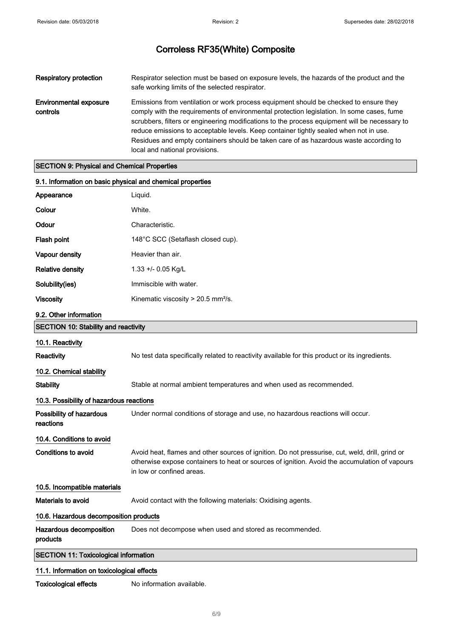| <b>Respiratory protection</b>             | Respirator selection must be based on exposure levels, the hazards of the product and the<br>safe working limits of the selected respirator.                                                                                                                                                                                                                                                                                                                                                            |
|-------------------------------------------|---------------------------------------------------------------------------------------------------------------------------------------------------------------------------------------------------------------------------------------------------------------------------------------------------------------------------------------------------------------------------------------------------------------------------------------------------------------------------------------------------------|
| <b>Environmental exposure</b><br>controls | Emissions from ventilation or work process equipment should be checked to ensure they<br>comply with the requirements of environmental protection legislation. In some cases, fume<br>scrubbers, filters or engineering modifications to the process equipment will be necessary to<br>reduce emissions to acceptable levels. Keep container tightly sealed when not in use.<br>Residues and empty containers should be taken care of as hazardous waste according to<br>local and national provisions. |

### SECTION 9: Physical and Chemical Properties

| 9.1. Information on basic physical and chemical properties |                                                                                                                                                                                                                               |
|------------------------------------------------------------|-------------------------------------------------------------------------------------------------------------------------------------------------------------------------------------------------------------------------------|
| Appearance                                                 | Liquid.                                                                                                                                                                                                                       |
| Colour                                                     | White.                                                                                                                                                                                                                        |
| Odour                                                      | Characteristic.                                                                                                                                                                                                               |
| Flash point                                                | 148°C SCC (Setaflash closed cup).                                                                                                                                                                                             |
| Vapour density                                             | Heavier than air.                                                                                                                                                                                                             |
| <b>Relative density</b>                                    | $1.33 + 0.05$ Kg/L                                                                                                                                                                                                            |
| Solubility(ies)                                            | Immiscible with water.                                                                                                                                                                                                        |
| <b>Viscosity</b>                                           | Kinematic viscosity $> 20.5$ mm <sup>2</sup> /s.                                                                                                                                                                              |
| 9.2. Other information                                     |                                                                                                                                                                                                                               |
| <b>SECTION 10: Stability and reactivity</b>                |                                                                                                                                                                                                                               |
| 10.1. Reactivity                                           |                                                                                                                                                                                                                               |
| Reactivity                                                 | No test data specifically related to reactivity available for this product or its ingredients.                                                                                                                                |
| 10.2. Chemical stability                                   |                                                                                                                                                                                                                               |
| <b>Stability</b>                                           | Stable at normal ambient temperatures and when used as recommended.                                                                                                                                                           |
| 10.3. Possibility of hazardous reactions                   |                                                                                                                                                                                                                               |
| Possibility of hazardous<br>reactions                      | Under normal conditions of storage and use, no hazardous reactions will occur.                                                                                                                                                |
| 10.4. Conditions to avoid                                  |                                                                                                                                                                                                                               |
| Conditions to avoid                                        | Avoid heat, flames and other sources of ignition. Do not pressurise, cut, weld, drill, grind or<br>otherwise expose containers to heat or sources of ignition. Avoid the accumulation of vapours<br>in low or confined areas. |
| 10.5. Incompatible materials                               |                                                                                                                                                                                                                               |
| Materials to avoid                                         | Avoid contact with the following materials: Oxidising agents.                                                                                                                                                                 |
| 10.6. Hazardous decomposition products                     |                                                                                                                                                                                                                               |
| Hazardous decomposition<br>products                        | Does not decompose when used and stored as recommended.                                                                                                                                                                       |
| <b>SECTION 11: Toxicological information</b>               |                                                                                                                                                                                                                               |
| 11.1. Information on toxicological effects                 |                                                                                                                                                                                                                               |

Toxicological effects No information available.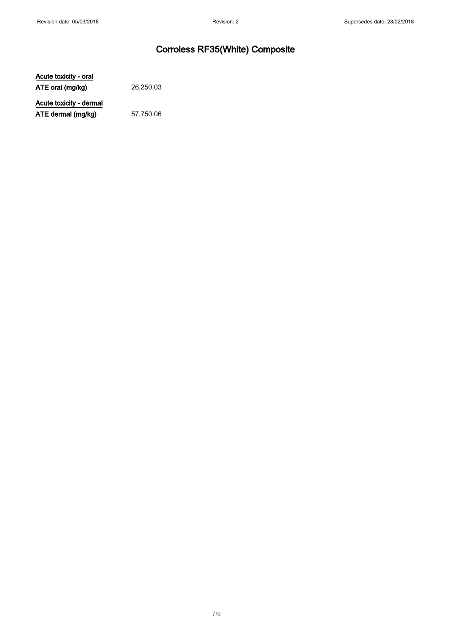Acute toxicity - oral ATE oral (mg/kg) 26,250.03

Acute toxicity - dermal ATE dermal (mg/kg) 57,750.06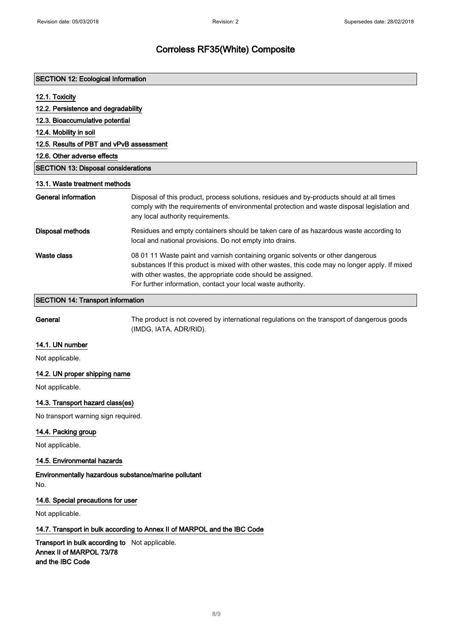| <b>SECTION 12: Ecological Information</b>  |                                                                                                                                                                                                                                                                                                                  |
|--------------------------------------------|------------------------------------------------------------------------------------------------------------------------------------------------------------------------------------------------------------------------------------------------------------------------------------------------------------------|
| 12.1. Toxicity                             |                                                                                                                                                                                                                                                                                                                  |
| 12.2. Persistence and degradability        |                                                                                                                                                                                                                                                                                                                  |
| 12.3. Bioaccumulative potential            |                                                                                                                                                                                                                                                                                                                  |
| 12.4. Mobility in soil                     |                                                                                                                                                                                                                                                                                                                  |
| 12.5. Results of PBT and vPvB assessment   |                                                                                                                                                                                                                                                                                                                  |
| 12.6. Other adverse effects                |                                                                                                                                                                                                                                                                                                                  |
| <b>SECTION 13: Disposal considerations</b> |                                                                                                                                                                                                                                                                                                                  |
| 13.1. Waste treatment methods              |                                                                                                                                                                                                                                                                                                                  |
| General information                        | Disposal of this product, process solutions, residues and by-products should at all times<br>comply with the requirements of environmental protection and waste disposal legislation and<br>any local authority requirements.                                                                                    |
| Disposal methods                           | Residues and empty containers should be taken care of as hazardous waste according to<br>local and national provisions. Do not empty into drains.                                                                                                                                                                |
| <b>Waste class</b>                         | 08 01 11 Waste paint and varnish containing organic solvents or other dangerous<br>substances If this product is mixed with other wastes, this code may no longer apply. If mixed<br>with other wastes, the appropriate code should be assigned.<br>For further information, contact your local waste authority. |

### SECTION 14: Transport information

General The product is not covered by international regulations on the transport of dangerous goods (IMDG, IATA, ADR/RID).

### 14.1. UN number

Not applicable.

### 14.2. UN proper shipping name

Not applicable.

### 14.3. Transport hazard class(es)

No transport warning sign required.

### 14.4. Packing group

Not applicable.

### 14.5. Environmental hazards

Environmentally hazardous substance/marine pollutant No.

### 14.6. Special precautions for user

Not applicable.

### 14.7. Transport in bulk according to Annex II of MARPOL and the IBC Code

Transport in bulk according to Not applicable. Annex II of MARPOL 73/78 and the IBC Code